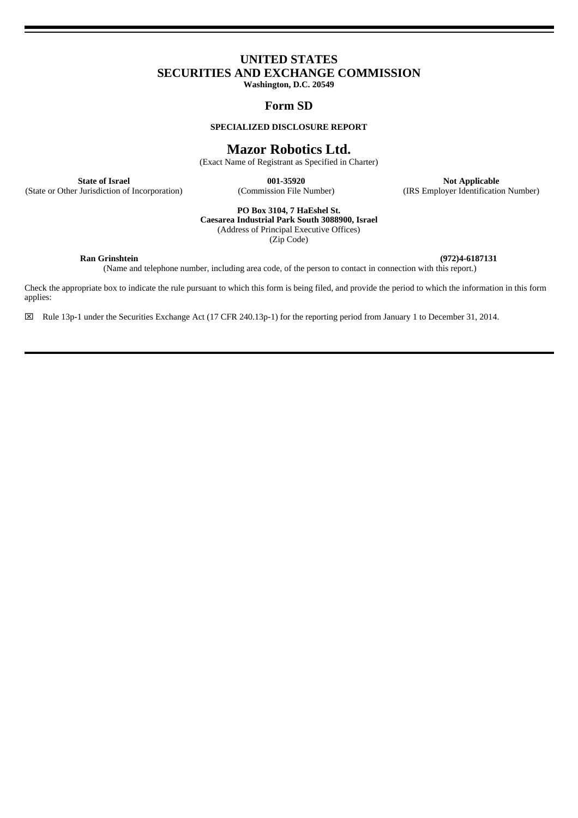# **UNITED STATES SECURITIES AND EXCHANGE COMMISSION**

**Washington, D.C. 20549**

## **Form SD**

#### **SPECIALIZED DISCLOSURE REPORT**

## **Mazor Robotics Ltd.**

(Exact Name of Registrant as Specified in Charter)

(State or Other Jurisdiction of Incorporation)

**State of Israel 1988 ODE: 001-35920 ODE: COMMISSION COMMISSION COMMISSION COMMISSION COMMISSION COMMISSION COMMISSION COMMISSION COMMISSION COMMISSION COMMISSION COMMISSION COMMISSION COMMI** 

**PO Box 3104, 7 HaEshel St.**

**Caesarea Industrial Park South 3088900, Israel** (Address of Principal Executive Offices)

(Zip Code)

**Ran Grinshtein (972)4-6187131**

(Name and telephone number, including area code, of the person to contact in connection with this report.)

Check the appropriate box to indicate the rule pursuant to which this form is being filed, and provide the period to which the information in this form applies:

Rule 13p-1 under the Securities Exchange Act (17 CFR 240.13p-1) for the reporting period from January 1 to December 31, 2014.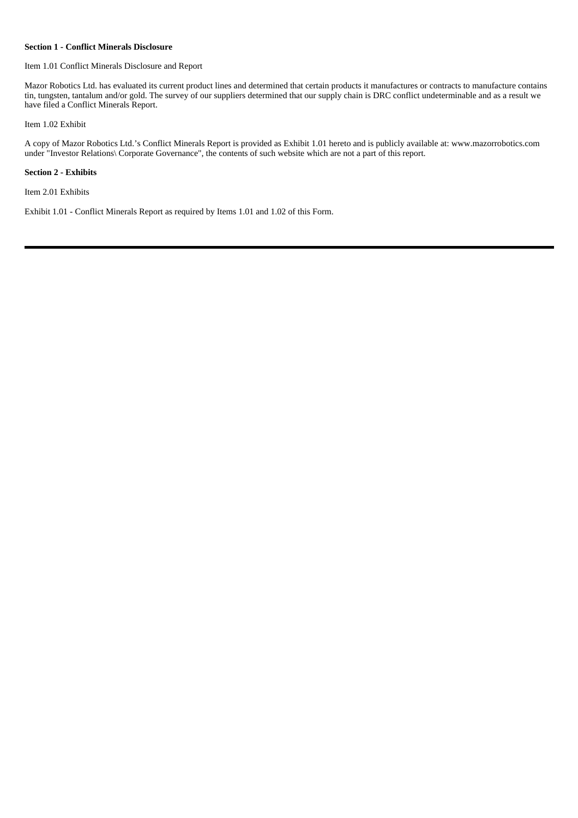#### **Section 1 - Conflict Minerals Disclosure**

#### Item 1.01 Conflict Minerals Disclosure and Report

Mazor Robotics Ltd. has evaluated its current product lines and determined that certain products it manufactures or contracts to manufacture contains tin, tungsten, tantalum and/or gold. The survey of our suppliers determined that our supply chain is DRC conflict undeterminable and as a result we have filed a Conflict Minerals Report.

#### Item 1.02 Exhibit

A copy of Mazor Robotics Ltd.'s Conflict Minerals Report is provided as Exhibit 1.01 hereto and is publicly available at: www.mazorrobotics.com under "Investor Relations\ Corporate Governance", the contents of such website which are not a part of this report.

### **Section 2 - Exhibits**

Item 2.01 Exhibits

Exhibit 1.01 - Conflict Minerals Report as required by Items 1.01 and 1.02 of this Form.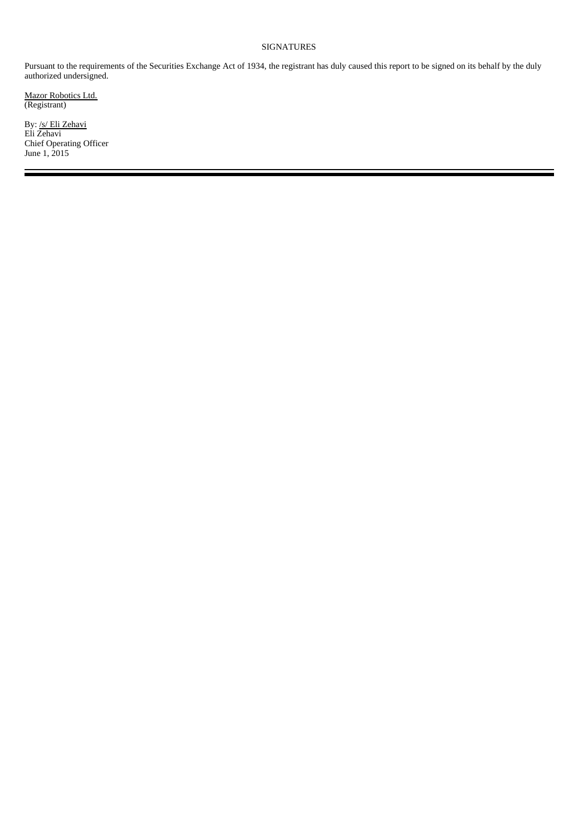## SIGNATURES

Pursuant to the requirements of the Securities Exchange Act of 1934, the registrant has duly caused this report to be signed on its behalf by the duly authorized undersigned.

Mazor Robotics Ltd. (Registrant)

By: /s/ Eli Zehavi Eli Zehavi Chief Operating Officer June 1, 2015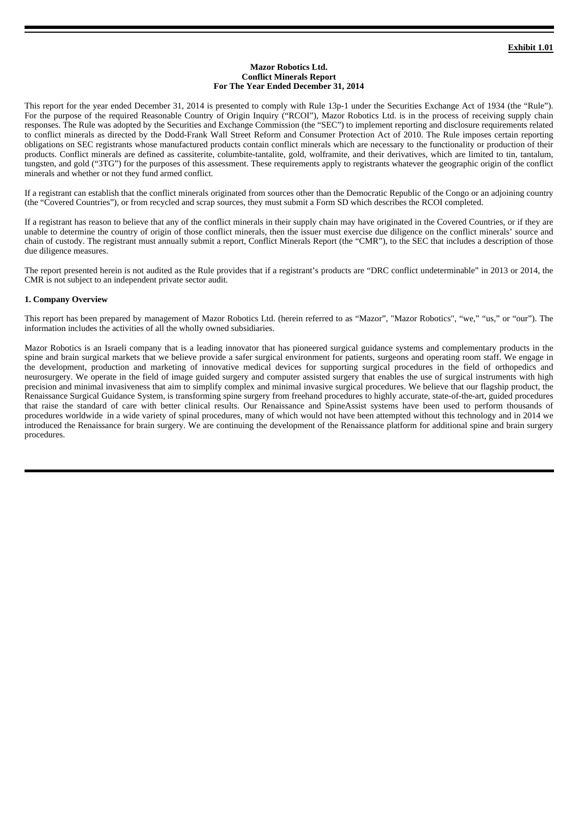#### **Mazor Robotics Ltd. Conflict Minerals Report For The Year Ended December 31, 2014**

This report for the year ended December 31, 2014 is presented to comply with Rule 13p-1 under the Securities Exchange Act of 1934 (the "Rule"). For the purpose of the required Reasonable Country of Origin Inquiry ("RCOI"), Mazor Robotics Ltd. is in the process of receiving supply chain responses. The Rule was adopted by the Securities and Exchange Commission (the "SEC") to implement reporting and disclosure requirements related to conflict minerals as directed by the Dodd-Frank Wall Street Reform and Consumer Protection Act of 2010. The Rule imposes certain reporting obligations on SEC registrants whose manufactured products contain conflict minerals which are necessary to the functionality or production of their products. Conflict minerals are defined as cassiterite, columbite-tantalite, gold, wolframite, and their derivatives, which are limited to tin, tantalum, tungsten, and gold ("3TG") for the purposes of this assessment. These requirements apply to registrants whatever the geographic origin of the conflict minerals and whether or not they fund armed conflict.

If a registrant can establish that the conflict minerals originated from sources other than the Democratic Republic of the Congo or an adjoining country (the "Covered Countries"), or from recycled and scrap sources, they must submit a Form SD which describes the RCOI completed.

If a registrant has reason to believe that any of the conflict minerals in their supply chain may have originated in the Covered Countries, or if they are unable to determine the country of origin of those conflict minerals, then the issuer must exercise due diligence on the conflict minerals' source and chain of custody. The registrant must annually submit a report, Conflict Minerals Report (the "CMR"), to the SEC that includes a description of those due diligence measures.

The report presented herein is not audited as the Rule provides that if a registrant's products are "DRC conflict undeterminable" in 2013 or 2014, the CMR is not subject to an independent private sector audit.

### **1. Company Overview**

This report has been prepared by management of Mazor Robotics Ltd. (herein referred to as "Mazor", "Mazor Robotics", "we," "us," or "our"). The information includes the activities of all the wholly owned subsidiaries.

Mazor Robotics is an Israeli company that is a leading innovator that has pioneered surgical guidance systems and complementary products in the spine and brain surgical markets that we believe provide a safer surgical environment for patients, surgeons and operating room staff. We engage in the development, production and marketing of innovative medical devices for supporting surgical procedures in the field of orthopedics and neurosurgery. We operate in the field of image guided surgery and computer assisted surgery that enables the use of surgical instruments with high precision and minimal invasiveness that aim to simplify complex and minimal invasive surgical procedures. We believe that our flagship product, the Renaissance Surgical Guidance System, is transforming spine surgery from freehand procedures to highly accurate, state-of-the-art, guided procedures that raise the standard of care with better clinical results. Our Renaissance and SpineAssist systems have been used to perform thousands of procedures worldwide in a wide variety of spinal procedures, many of which would not have been attempted without this technology and in 2014 we introduced the Renaissance for brain surgery. We are continuing the development of the Renaissance platform for additional spine and brain surgery procedures.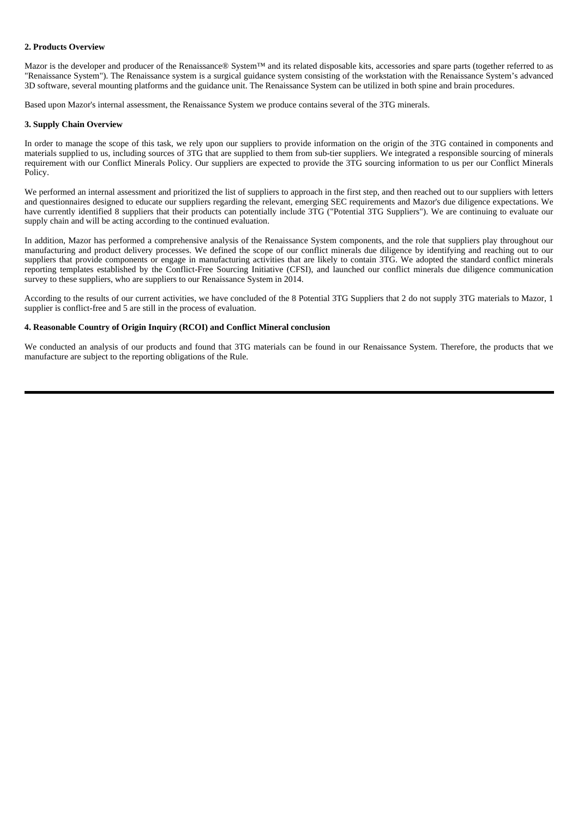### **2. Products Overview**

Mazor is the developer and producer of the Renaissance® System™ and its related disposable kits, accessories and spare parts (together referred to as "Renaissance System"). The Renaissance system is a surgical guidance system consisting of the workstation with the Renaissance System's advanced 3D software, several mounting platforms and the guidance unit. The Renaissance System can be utilized in both spine and brain procedures.

Based upon Mazor's internal assessment, the Renaissance System we produce contains several of the 3TG minerals.

#### **3. Supply Chain Overview**

In order to manage the scope of this task, we rely upon our suppliers to provide information on the origin of the 3TG contained in components and materials supplied to us, including sources of 3TG that are supplied to them from sub-tier suppliers. We integrated a responsible sourcing of minerals requirement with our Conflict Minerals Policy. Our suppliers are expected to provide the 3TG sourcing information to us per our Conflict Minerals Policy.

We performed an internal assessment and prioritized the list of suppliers to approach in the first step, and then reached out to our suppliers with letters and questionnaires designed to educate our suppliers regarding the relevant, emerging SEC requirements and Mazor's due diligence expectations. We have currently identified 8 suppliers that their products can potentially include 3TG ("Potential 3TG Suppliers"). We are continuing to evaluate our supply chain and will be acting according to the continued evaluation.

In addition, Mazor has performed a comprehensive analysis of the Renaissance System components, and the role that suppliers play throughout our manufacturing and product delivery processes. We defined the scope of our conflict minerals due diligence by identifying and reaching out to our suppliers that provide components or engage in manufacturing activities that are likely to contain 3TG. We adopted the standard conflict minerals reporting templates established by the Conflict-Free Sourcing Initiative (CFSI), and launched our conflict minerals due diligence communication survey to these suppliers, who are suppliers to our Renaissance System in 2014.

According to the results of our current activities, we have concluded of the 8 Potential 3TG Suppliers that 2 do not supply 3TG materials to Mazor, 1 supplier is conflict-free and 5 are still in the process of evaluation.

#### **4. Reasonable Country of Origin Inquiry (RCOI) and Conflict Mineral conclusion**

We conducted an analysis of our products and found that 3TG materials can be found in our Renaissance System. Therefore, the products that we manufacture are subject to the reporting obligations of the Rule.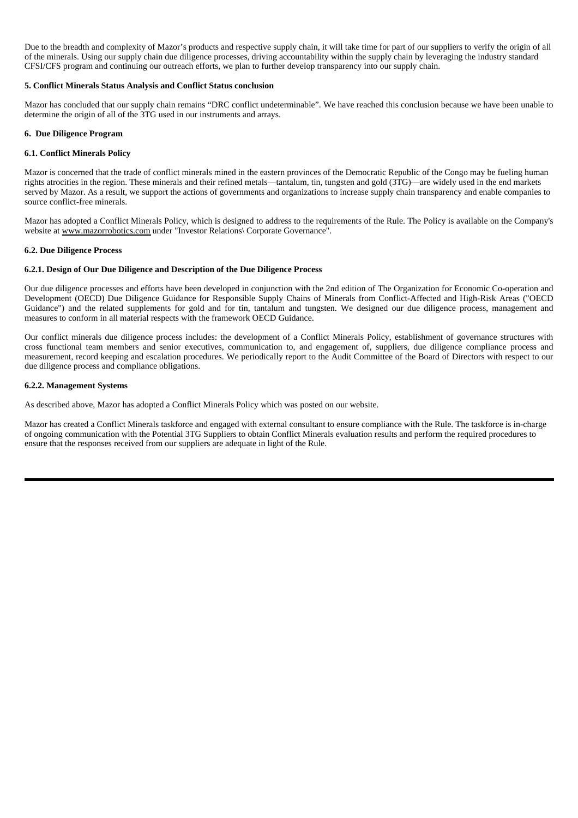Due to the breadth and complexity of Mazor's products and respective supply chain, it will take time for part of our suppliers to verify the origin of all of the minerals. Using our supply chain due diligence processes, driving accountability within the supply chain by leveraging the industry standard CFSI/CFS program and continuing our outreach efforts, we plan to further develop transparency into our supply chain.

#### **5. Conflict Minerals Status Analysis and Conflict Status conclusion**

Mazor has concluded that our supply chain remains "DRC conflict undeterminable". We have reached this conclusion because we have been unable to determine the origin of all of the 3TG used in our instruments and arrays.

#### **6. Due Diligence Program**

#### **6.1. Conflict Minerals Policy**

Mazor is concerned that the trade of conflict minerals mined in the eastern provinces of the Democratic Republic of the Congo may be fueling human rights atrocities in the region. These minerals and their refined metals—tantalum, tin, tungsten and gold (3TG)—are widely used in the end markets served by Mazor. As a result, we support the actions of governments and organizations to increase supply chain transparency and enable companies to source conflict-free minerals.

Mazor has adopted a Conflict Minerals Policy, which is designed to address to the requirements of the Rule. The Policy is available on the Company's website at www.mazorrobotics.com under "Investor Relations\ Corporate Governance".

#### **6.2. Due Diligence Process**

#### **6.2.1. Design of Our Due Diligence and Description of the Due Diligence Process**

Our due diligence processes and efforts have been developed in conjunction with the 2nd edition of The Organization for Economic Co-operation and Development (OECD) Due Diligence Guidance for Responsible Supply Chains of Minerals from Conflict-Affected and High-Risk Areas ("OECD Guidance") and the related supplements for gold and for tin, tantalum and tungsten. We designed our due diligence process, management and measures to conform in all material respects with the framework OECD Guidance.

Our conflict minerals due diligence process includes: the development of a Conflict Minerals Policy, establishment of governance structures with cross functional team members and senior executives, communication to, and engagement of, suppliers, due diligence compliance process and measurement, record keeping and escalation procedures. We periodically report to the Audit Committee of the Board of Directors with respect to our due diligence process and compliance obligations.

#### **6.2.2. Management Systems**

As described above, Mazor has adopted a Conflict Minerals Policy which was posted on our website.

Mazor has created a Conflict Minerals taskforce and engaged with external consultant to ensure compliance with the Rule. The taskforce is in-charge of ongoing communication with the Potential 3TG Suppliers to obtain Conflict Minerals evaluation results and perform the required procedures to ensure that the responses received from our suppliers are adequate in light of the Rule.